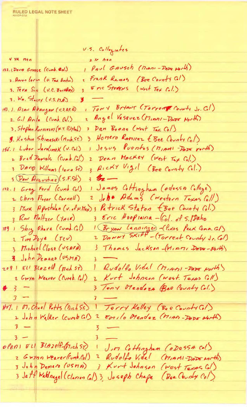**RULED LEGAL NOTE SHEET** 

U.S. Collogiates  $4 yR$   $then$ z te hen Paul Gausch (Miani-Dope North) 132.1 DAVID Grosse (Cumb. Cd.) Frank Ramos (Bee County GI) 2. Ancon lorin (U. Tex Austin) Eric Stevers (West Tex Col.) 3. Tera Sin (v.C. Borkher) 3 3. Wm. Stacey (U.S. M.A.) 3 TONY BriANT (Torrent County Jr. C.I) 143. 1. PLAN AbANGAN (U.S.A.F.A) Angel Vasavez (Minni-Davo North) 2. G.I Avila (Cumb. Col.) 2 3 Dan Boone (West Tex Col) 3. Stephen Kornierky (N.Y. Polytech) y Homero Romirez (Bee County Col) 3. Koshin Shinasaki (Mich. ST.) 1 Jesus Puentes (MIAMI-DADE rorth) 156.1 Lubor Jarolimek (U.Col.) 2 Dean MACKEY (West Tex Col.) 2 Bred Pariels (Cunb. Col.) & Ricky Vigil (Bee County Col.) 3 DAVO Williams (lower ST) 3 DAN Aveustine (S.F.St.)  $3.32-$ 1 James Cottinghum (odossa College) 172.1 Grey Ford (Cumb Col) John Adams (Western Texas Coll) 2 Chris Muyer (Cornell)  $\mathbf{z}$ 3 Mark Apostalan (v. of N. Mex) 3 Patrick Staton (Bee County Col.) 3 Eric Hoopiaina - Col. of S. Daho 3 Row Meltzer (YALS) 1 Bryon Lenninger - (Pixes Peek Comm. GI)<br>2 Danny SKIFF - (Torrent County Jr. Col) 189 1 Shig Chara (cumo. Col) 2 Tim Poye (TCU) 3 Thomas Jackson (MIATI DATE-North) 3 Michael Close (USAFA) 3 John DenARD (USMA)  $\overline{\phantom{0}}$ 1 Rudolfo Vidal (MIAMI-DADE North) 2091 Ell BLAZEH (Mich ST) 2 Gwyn Weiver (Cumb. Col) 2 Kurt Johnson (wast. Texas Coll) 3 Teny Mendoza Bee County Col.)  $# 3 3 HVI.$  1  $VI.$  Chael Potts (Dich ST.) Torry Kelley (Bee County Col) 2 John Walker (cumb GI) EDIIO Mendez (MIAN-DODS North)  $\mathbf{z}$  $3 -$ 3 3  $3$ opens Ell BLAZelf-(Mich ST) JIM Cottingham CoDessA col) 2 Gwynn Weaver(cumb.col) 2 Rudolfo Vidal (MIAMI-DADE North) 3 Kurt Johnson (West Texas Col) 3 John Demaro (USMA) 3 Jatt Waldnese (Clarion Col) 3, Joseph Chape (Bee County Col)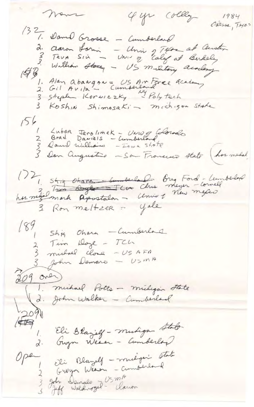4 yr colleg News 1984 Odessa, Texas 132, Dame Grosse - Cumberland d. Claron Lorin - Univ 2740 at Center<br>3 Term Sin - Univ of Ealog at Berkeley<br>195, William Storey - US military acordany 1. Alan abangan = US Am Force Academy<br>2. Gil Avita - Cumberland Ve Fach 3 Koshin Shimasaki - michigan Stake  $156$ Lubor Jarolimek - Universidorado Dan Augustine - Sa Francisco State (hormedal 17, stig chara - un verle brug Ford-Lumberlos 3 Ron mettree = yale 189<br>2 Tim Doye - TCL<br>3 Michael Close - USAFA<br>3 Michael Close - USAFA 3 John Demars - USMA  $209$  and (1. michael Potts - milyon State<br>(d. John Walker - Cumberland  $2091$  $\overline{\mathbb{R}}$ Eli Blaziel - muliga Stato  $d \cdot$ Eli Blazelf - mulgari state<br>Gwyn Wearn - Cumberland Open 3 John Demalo J USMA<br>3 John Waldrogel - Clanon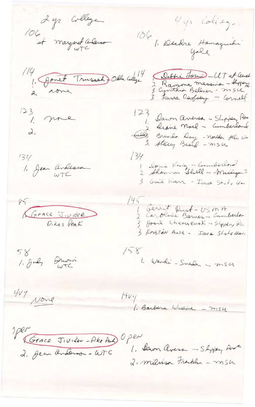2 yr college Uyr College. 106 st margaret avenue 106 / Dudre Hamaguili 114, Jonet Trussel Dela Cologe Debhi Jon 117 at aussi<br>3 Cynthia Bellner - messing<br>3 Cynthia Bellner - m sie  $\begin{array}{c} \n 123 \\
1. \quad \text{mne} \\
\end{array}$ 123 Dawn aversa - Shoppen Por heddes Brenda Day - norther Hel. Un 134<br>1. Jean Andeasa  $134$ 1 Doris King - Cumberlord<br>2 Shannon Shill - Michigan S 3 Gail Karr - Iwwa State Uni V5 Crace Juidel  $145$ 1 Gerrit Pust-USMA Josie Cherueusk - Slipping Ka 3 Kniston Ause - Iava State Umi 58<br>1. July Showin  $158$ 1. Wandi - Sneden - m54 Hvy<br>1. Barbara Wiseman - m54  $407$  None Mer<br>2. Jean Ordenson - WTC Open 1. Dawn avers - Shyjan Ave 2. milisa Fraklia - msh